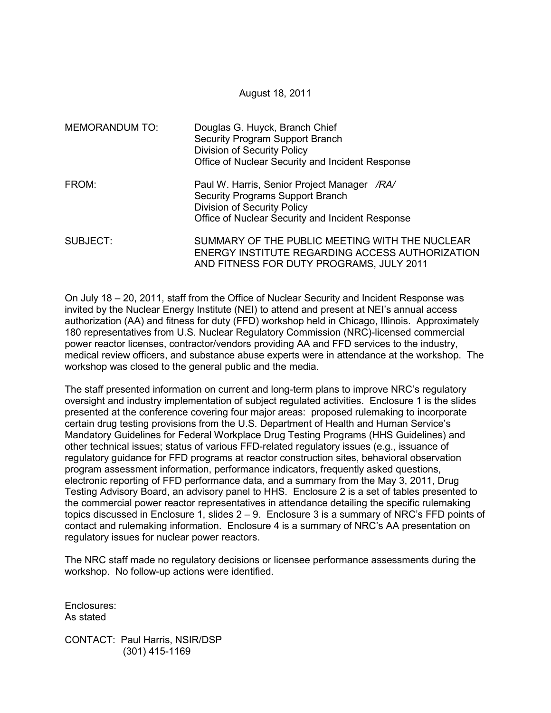August 18, 2011

| <b>MEMORANDUM TO:</b> | Douglas G. Huyck, Branch Chief<br>Security Program Support Branch<br><b>Division of Security Policy</b><br>Office of Nuclear Security and Incident Response               |
|-----------------------|---------------------------------------------------------------------------------------------------------------------------------------------------------------------------|
| FROM:                 | Paul W. Harris, Senior Project Manager /RA/<br>Security Programs Support Branch<br><b>Division of Security Policy</b><br>Office of Nuclear Security and Incident Response |
| SUBJECT:              | SUMMARY OF THE PUBLIC MEETING WITH THE NUCLEAR<br>ENERGY INSTITUTE REGARDING ACCESS AUTHORIZATION<br>AND FITNESS FOR DUTY PROGRAMS, JULY 2011                             |

On July 18 – 20, 2011, staff from the Office of Nuclear Security and Incident Response was invited by the Nuclear Energy Institute (NEI) to attend and present at NEI's annual access authorization (AA) and fitness for duty (FFD) workshop held in Chicago, Illinois. Approximately 180 representatives from U.S. Nuclear Regulatory Commission (NRC)-licensed commercial power reactor licenses, contractor/vendors providing AA and FFD services to the industry, medical review officers, and substance abuse experts were in attendance at the workshop. The workshop was closed to the general public and the media.

The staff presented information on current and long-term plans to improve NRC's regulatory oversight and industry implementation of subject regulated activities. Enclosure 1 is the slides presented at the conference covering four major areas: proposed rulemaking to incorporate certain drug testing provisions from the U.S. Department of Health and Human Service's Mandatory Guidelines for Federal Workplace Drug Testing Programs (HHS Guidelines) and other technical issues; status of various FFD-related regulatory issues (e.g., issuance of regulatory guidance for FFD programs at reactor construction sites, behavioral observation program assessment information, performance indicators, frequently asked questions, electronic reporting of FFD performance data, and a summary from the May 3, 2011, Drug Testing Advisory Board, an advisory panel to HHS. Enclosure 2 is a set of tables presented to the commercial power reactor representatives in attendance detailing the specific rulemaking topics discussed in Enclosure 1, slides  $2 - 9$ . Enclosure 3 is a summary of NRC's FFD points of contact and rulemaking information. Enclosure 4 is a summary of NRC's AA presentation on regulatory issues for nuclear power reactors.

The NRC staff made no regulatory decisions or licensee performance assessments during the workshop. No follow-up actions were identified.

Enclosures: As stated

CONTACT: Paul Harris, NSIR/DSP (301) 415-1169